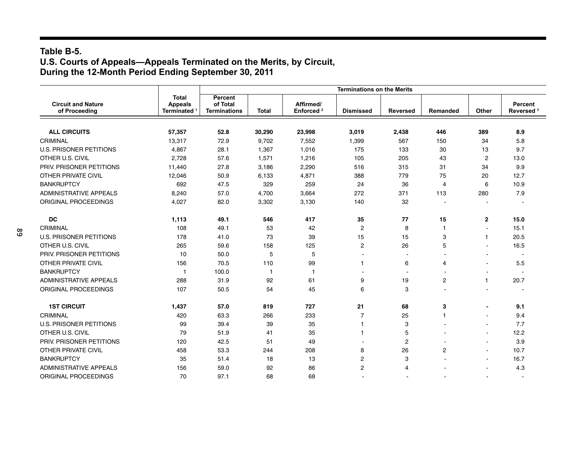#### **Table B-5. U.S. Courts of Appeals—Appeals Terminated on the Merits, by Circuit, During the 12-Month Period Ending September 30, 2011**

|                                            |                                                     | <b>Terminations on the Merits</b>          |              |                                    |                  |                 |                |                          |                                  |  |
|--------------------------------------------|-----------------------------------------------------|--------------------------------------------|--------------|------------------------------------|------------------|-----------------|----------------|--------------------------|----------------------------------|--|
| <b>Circuit and Nature</b><br>of Proceeding | <b>Total</b><br><b>Appeals</b><br><b>Terminated</b> | Percent<br>of Total<br><b>Terminations</b> | <b>Total</b> | Affirmed/<br>Enforced <sup>2</sup> | <b>Dismissed</b> | <b>Reversed</b> | Remanded       | Other                    | Percent<br>Reversed <sup>3</sup> |  |
|                                            |                                                     |                                            |              |                                    |                  |                 |                |                          |                                  |  |
| <b>ALL CIRCUITS</b>                        | 57,357                                              | 52.8                                       | 30,290       | 23,998                             | 3,019            | 2,438           | 446            | 389                      | 8.9                              |  |
| CRIMINAL                                   | 13.317                                              | 72.9                                       | 9,702        | 7,552                              | 1,399            | 567             | 150            | 34                       | 5.8                              |  |
| <b>U.S. PRISONER PETITIONS</b>             | 4,867                                               | 28.1                                       | 1,367        | 1,016                              | 175              | 133             | 30             | 13                       | 9.7                              |  |
| OTHER U.S. CIVIL                           | 2,728                                               | 57.6                                       | 1,571        | 1,216                              | 105              | 205             | 43             | $\overline{c}$           | 13.0                             |  |
| PRIV. PRISONER PETITIONS                   | 11,440                                              | 27.8                                       | 3,186        | 2,290                              | 516              | 315             | 31             | 34                       | 9.9                              |  |
| <b>OTHER PRIVATE CIVIL</b>                 | 12,046                                              | 50.9                                       | 6,133        | 4,871                              | 388              | 779             | 75             | 20                       | 12.7                             |  |
| <b>BANKRUPTCY</b>                          | 692                                                 | 47.5                                       | 329          | 259                                | 24               | 36              | $\overline{4}$ | 6                        | 10.9                             |  |
| <b>ADMINISTRATIVE APPEALS</b>              | 8,240                                               | 57.0                                       | 4,700        | 3,664                              | 272              | 371             | 113            | 280                      | 7.9                              |  |
| ORIGINAL PROCEEDINGS                       | 4,027                                               | 82.0                                       | 3,302        | 3,130                              | 140              | 32              |                |                          |                                  |  |
| <b>DC</b>                                  | 1,113                                               | 49.1                                       | 546          | 417                                | 35               | 77              | 15             | $\mathbf{2}$             | 15.0                             |  |
| CRIMINAL                                   | 108                                                 | 49.1                                       | 53           | 42                                 | $\overline{c}$   | 8               | $\mathbf{1}$   |                          | 15.1                             |  |
| <b>U.S. PRISONER PETITIONS</b>             | 178                                                 | 41.0                                       | 73           | 39                                 | 15               | 15              | 3              | 1                        | 20.5                             |  |
| OTHER U.S. CIVIL                           | 265                                                 | 59.6                                       | 158          | 125                                | $\overline{c}$   | 26              | 5              |                          | 16.5                             |  |
| PRIV. PRISONER PETITIONS                   | 10                                                  | 50.0                                       | 5            | 5                                  |                  |                 |                |                          | $\overline{\phantom{a}}$         |  |
| <b>OTHER PRIVATE CIVIL</b>                 | 156                                                 | 70.5                                       | 110          | 99                                 | 1                | 6               | $\overline{4}$ |                          | 5.5                              |  |
| <b>BANKRUPTCY</b>                          | -1                                                  | 100.0                                      | $\mathbf{1}$ | $\mathbf{1}$                       |                  |                 |                |                          |                                  |  |
| <b>ADMINISTRATIVE APPEALS</b>              | 288                                                 | 31.9                                       | 92           | 61                                 | 9                | 19              | $\overline{2}$ | 1                        | 20.7                             |  |
| ORIGINAL PROCEEDINGS                       | 107                                                 | 50.5                                       | 54           | 45                                 | 6                | 3               |                |                          |                                  |  |
| <b>1ST CIRCUIT</b>                         | 1,437                                               | 57.0                                       | 819          | 727                                | 21               | 68              | 3              |                          | 9.1                              |  |
| CRIMINAL                                   | 420                                                 | 63.3                                       | 266          | 233                                | $\overline{7}$   | 25              | $\mathbf{1}$   | L.                       | 9.4                              |  |
| <b>U.S. PRISONER PETITIONS</b>             | 99                                                  | 39.4                                       | 39           | 35                                 | 1                | 3               |                | ä,                       | 7.7                              |  |
| OTHER U.S. CIVIL                           | 79                                                  | 51.9                                       | 41           | 35                                 | 1                | 5               |                | ۰                        | 12.2                             |  |
| PRIV. PRISONER PETITIONS                   | 120                                                 | 42.5                                       | 51           | 49                                 |                  | $\overline{c}$  |                | $\overline{\phantom{0}}$ | 3.9                              |  |
| <b>OTHER PRIVATE CIVIL</b>                 | 458                                                 | 53.3                                       | 244          | 208                                | 8                | 26              | $\overline{c}$ | $\blacksquare$           | 10.7                             |  |
| <b>BANKRUPTCY</b>                          | 35                                                  | 51.4                                       | 18           | 13                                 | $\overline{c}$   | 3               |                | $\blacksquare$           | 16.7                             |  |
| <b>ADMINISTRATIVE APPEALS</b>              | 156                                                 | 59.0                                       | 92           | 86                                 | $\overline{2}$   | 4               |                | $\blacksquare$           | 4.3                              |  |
| ORIGINAL PROCEEDINGS                       | 70                                                  | 97.1                                       | 68           | 68                                 |                  |                 |                |                          | $\overline{\phantom{a}}$         |  |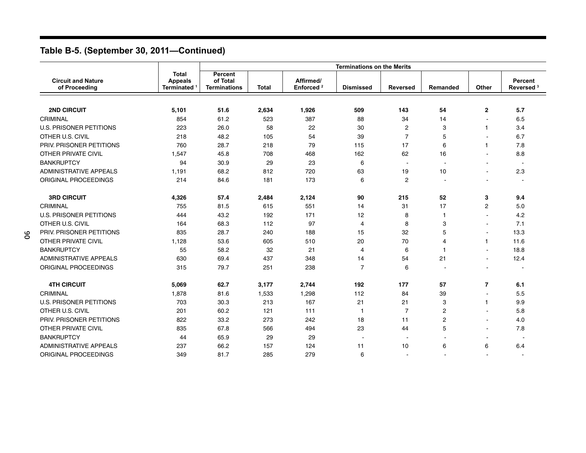|                                            |                                                           | <b>Terminations on the Merits</b>          |              |                                    |                  |                          |                          |                          |                                  |  |
|--------------------------------------------|-----------------------------------------------------------|--------------------------------------------|--------------|------------------------------------|------------------|--------------------------|--------------------------|--------------------------|----------------------------------|--|
| <b>Circuit and Nature</b><br>of Proceeding | <b>Total</b><br><b>Appeals</b><br>Terminated <sup>1</sup> | Percent<br>of Total<br><b>Terminations</b> | <b>Total</b> | Affirmed/<br>Enforced <sup>2</sup> | <b>Dismissed</b> | <b>Reversed</b>          | Remanded                 | Other                    | Percent<br>Reversed <sup>3</sup> |  |
|                                            |                                                           |                                            |              |                                    |                  |                          |                          |                          |                                  |  |
| <b>2ND CIRCUIT</b>                         | 5,101                                                     | 51.6                                       | 2,634        | 1,926                              | 509              | 143                      | 54                       | $\mathbf{2}$             | 5.7                              |  |
| CRIMINAL                                   | 854                                                       | 61.2                                       | 523          | 387                                | 88               | 34                       | 14                       |                          | 6.5                              |  |
| <b>U.S. PRISONER PETITIONS</b>             | 223                                                       | 26.0                                       | 58           | 22                                 | 30               | $\overline{2}$           | 3                        | 1                        | 3.4                              |  |
| OTHER U.S. CIVIL                           | 218                                                       | 48.2                                       | 105          | 54                                 | 39               | $\overline{7}$           | 5                        |                          | 6.7                              |  |
| PRIV. PRISONER PETITIONS                   | 760                                                       | 28.7                                       | 218          | 79                                 | 115              | 17                       | 6                        | 1                        | 7.8                              |  |
| <b>OTHER PRIVATE CIVIL</b>                 | 1,547                                                     | 45.8                                       | 708          | 468                                | 162              | 62                       | 16                       |                          | 8.8                              |  |
| <b>BANKRUPTCY</b>                          | 94                                                        | 30.9                                       | 29           | 23                                 | 6                | $\overline{\phantom{a}}$ | $\overline{\phantom{a}}$ |                          | $\sim$                           |  |
| <b>ADMINISTRATIVE APPEALS</b>              | 1,191                                                     | 68.2                                       | 812          | 720                                | 63               | 19                       | 10                       |                          | 2.3                              |  |
| ORIGINAL PROCEEDINGS                       | 214                                                       | 84.6                                       | 181          | 173                                | 6                | $\overline{c}$           | $\overline{\phantom{a}}$ |                          | $\sim$                           |  |
| <b>3RD CIRCUIT</b>                         | 4,326                                                     | 57.4                                       | 2,484        | 2,124                              | 90               | 215                      | 52                       | 3                        | 9.4                              |  |
| CRIMINAL                                   | 755                                                       | 81.5                                       | 615          | 551                                | 14               | 31                       | 17                       | $\overline{c}$           | 5.0                              |  |
| <b>U.S. PRISONER PETITIONS</b>             | 444                                                       | 43.2                                       | 192          | 171                                | 12               | 8                        | $\overline{1}$           | ۰                        | 4.2                              |  |
| OTHER U.S. CIVIL                           | 164                                                       | 68.3                                       | 112          | 97                                 | 4                | 8                        | 3                        |                          | 7.1                              |  |
| PRIV. PRISONER PETITIONS                   | 835                                                       | 28.7                                       | 240          | 188                                | 15               | 32                       | 5                        |                          | 13.3                             |  |
| <b>OTHER PRIVATE CIVIL</b>                 | 1,128                                                     | 53.6                                       | 605          | 510                                | 20               | 70                       | $\overline{4}$           | 1                        | 11.6                             |  |
| <b>BANKRUPTCY</b>                          | 55                                                        | 58.2                                       | 32           | 21                                 | 4                | 6                        | $\mathbf{1}$             | $\blacksquare$           | 18.8                             |  |
| <b>ADMINISTRATIVE APPEALS</b>              | 630                                                       | 69.4                                       | 437          | 348                                | 14               | 54                       | 21                       | ۰                        | 12.4                             |  |
| ORIGINAL PROCEEDINGS                       | 315                                                       | 79.7                                       | 251          | 238                                | $\overline{7}$   | 6                        |                          |                          |                                  |  |
| <b>4TH CIRCUIT</b>                         | 5,069                                                     | 62.7                                       | 3,177        | 2,744                              | 192              | 177                      | 57                       | $\overline{\phantom{a}}$ | 6.1                              |  |
| CRIMINAL                                   | 1,878                                                     | 81.6                                       | 1,533        | 1,298                              | 112              | 84                       | 39                       | $\blacksquare$           | 5.5                              |  |
| <b>U.S. PRISONER PETITIONS</b>             | 703                                                       | 30.3                                       | 213          | 167                                | 21               | 21                       | 3                        | 1                        | 9.9                              |  |
| OTHER U.S. CIVIL                           | 201                                                       | 60.2                                       | 121          | 111                                | $\mathbf{1}$     | $\overline{7}$           | $\overline{c}$           | ۰                        | 5.8                              |  |
| PRIV. PRISONER PETITIONS                   | 822                                                       | 33.2                                       | 273          | 242                                | 18               | 11                       | $\overline{2}$           | ۰                        | 4.0                              |  |
| <b>OTHER PRIVATE CIVIL</b>                 | 835                                                       | 67.8                                       | 566          | 494                                | 23               | 44                       | 5                        |                          | 7.8                              |  |
| <b>BANKRUPTCY</b>                          | 44                                                        | 65.9                                       | 29           | 29                                 |                  |                          |                          |                          |                                  |  |
| <b>ADMINISTRATIVE APPEALS</b>              | 237                                                       | 66.2                                       | 157          | 124                                | 11               | 10                       | 6                        | 6                        | 6.4                              |  |
| ORIGINAL PROCEEDINGS                       | 349                                                       | 81.7                                       | 285          | 279                                | 6                |                          |                          |                          | $\overline{\phantom{a}}$         |  |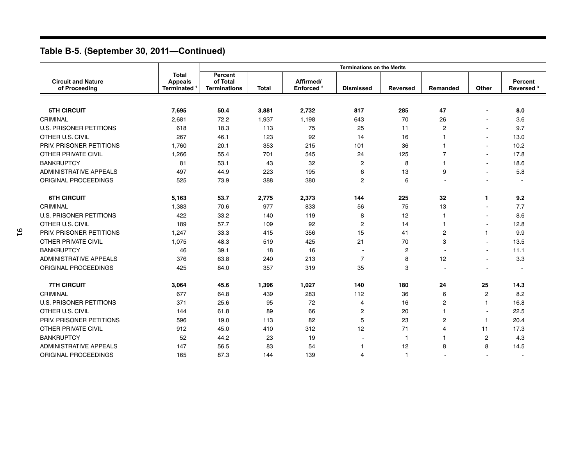|                                            |                                              | <b>Terminations on the Merits</b>                 |              |                                    |                  |                 |                |                |                                  |  |
|--------------------------------------------|----------------------------------------------|---------------------------------------------------|--------------|------------------------------------|------------------|-----------------|----------------|----------------|----------------------------------|--|
| <b>Circuit and Nature</b><br>of Proceeding | <b>Total</b><br><b>Appeals</b><br>Terminated | <b>Percent</b><br>of Total<br><b>Terminations</b> | <b>Total</b> | Affirmed/<br>Enforced <sup>2</sup> | <b>Dismissed</b> | <b>Reversed</b> | Remanded       | Other          | Percent<br>Reversed <sup>3</sup> |  |
|                                            |                                              |                                                   |              |                                    |                  |                 |                |                |                                  |  |
| <b>5TH CIRCUIT</b>                         | 7,695                                        | 50.4                                              | 3,881        | 2,732                              | 817              | 285             | 47             | $\blacksquare$ | 8.0                              |  |
| CRIMINAL                                   | 2,681                                        | 72.2                                              | 1,937        | 1,198                              | 643              | 70              | 26             |                | 3.6                              |  |
| <b>U.S. PRISONER PETITIONS</b>             | 618                                          | 18.3                                              | 113          | 75                                 | 25               | 11              | $\overline{c}$ |                | 9.7                              |  |
| OTHER U.S. CIVIL                           | 267                                          | 46.1                                              | 123          | 92                                 | 14               | 16              | $\mathbf{1}$   |                | 13.0                             |  |
| PRIV. PRISONER PETITIONS                   | 1,760                                        | 20.1                                              | 353          | 215                                | 101              | 36              | -1             | ä,             | 10.2                             |  |
| OTHER PRIVATE CIVIL                        | 1,266                                        | 55.4                                              | 701          | 545                                | 24               | 125             | $\overline{7}$ | ٠              | 17.8                             |  |
| <b>BANKRUPTCY</b>                          | 81                                           | 53.1                                              | 43           | 32                                 | $\overline{2}$   | 8               | -1             | ٠              | 18.6                             |  |
| <b>ADMINISTRATIVE APPEALS</b>              | 497                                          | 44.9                                              | 223          | 195                                | 6                | 13              | 9              | ä,             | 5.8                              |  |
| ORIGINAL PROCEEDINGS                       | 525                                          | 73.9                                              | 388          | 380                                | $\overline{c}$   | 6               |                |                |                                  |  |
| <b>6TH CIRCUIT</b>                         | 5,163                                        | 53.7                                              | 2,775        | 2,373                              | 144              | 225             | 32             | 1              | 9.2                              |  |
| CRIMINAL                                   | 1,383                                        | 70.6                                              | 977          | 833                                | 56               | 75              | 13             |                | 7.7                              |  |
| <b>U.S. PRISONER PETITIONS</b>             | 422                                          | 33.2                                              | 140          | 119                                | 8                | 12              | $\mathbf{1}$   | $\blacksquare$ | 8.6                              |  |
| OTHER U.S. CIVIL                           | 189                                          | 57.7                                              | 109          | 92                                 | $\overline{2}$   | 14              | -1             | $\blacksquare$ | 12.8                             |  |
| PRIV. PRISONER PETITIONS                   | 1,247                                        | 33.3                                              | 415          | 356                                | 15               | 41              | 2              | 1              | 9.9                              |  |
| OTHER PRIVATE CIVIL                        | 1,075                                        | 48.3                                              | 519          | 425                                | 21               | 70              | 3              |                | 13.5                             |  |
| <b>BANKRUPTCY</b>                          | 46                                           | 39.1                                              | 18           | 16                                 |                  | $\overline{c}$  |                | $\blacksquare$ | 11.1                             |  |
| <b>ADMINISTRATIVE APPEALS</b>              | 376                                          | 63.8                                              | 240          | 213                                | $\overline{7}$   | 8               | 12             | ÷.             | 3.3                              |  |
| ORIGINAL PROCEEDINGS                       | 425                                          | 84.0                                              | 357          | 319                                | 35               | 3               |                |                |                                  |  |
| <b>7TH CIRCUIT</b>                         | 3,064                                        | 45.6                                              | 1,396        | 1,027                              | 140              | 180             | 24             | 25             | 14.3                             |  |
| CRIMINAL                                   | 677                                          | 64.8                                              | 439          | 283                                | 112              | 36              | 6              | $\overline{c}$ | 8.2                              |  |
| <b>U.S. PRISONER PETITIONS</b>             | 371                                          | 25.6                                              | 95           | 72                                 | 4                | 16              | $\overline{c}$ | -1             | 16.8                             |  |
| OTHER U.S. CIVIL                           | 144                                          | 61.8                                              | 89           | 66                                 | 2                | 20              | -1             | $\blacksquare$ | 22.5                             |  |
| PRIV. PRISONER PETITIONS                   | 596                                          | 19.0                                              | 113          | 82                                 | 5                | 23              | $\overline{2}$ | -1             | 20.4                             |  |
| <b>OTHER PRIVATE CIVIL</b>                 | 912                                          | 45.0                                              | 410          | 312                                | 12               | 71              | $\overline{4}$ | 11             | 17.3                             |  |
| <b>BANKRUPTCY</b>                          | 52                                           | 44.2                                              | 23           | 19                                 |                  | -1              | $\overline{1}$ | $\overline{c}$ | 4.3                              |  |
| <b>ADMINISTRATIVE APPEALS</b>              | 147                                          | 56.5                                              | 83           | 54                                 | 1                | 12              | 8              | 8              | 14.5                             |  |
| <b>ORIGINAL PROCEEDINGS</b>                | 165                                          | 87.3                                              | 144          | 139                                | 4                | 1               |                |                |                                  |  |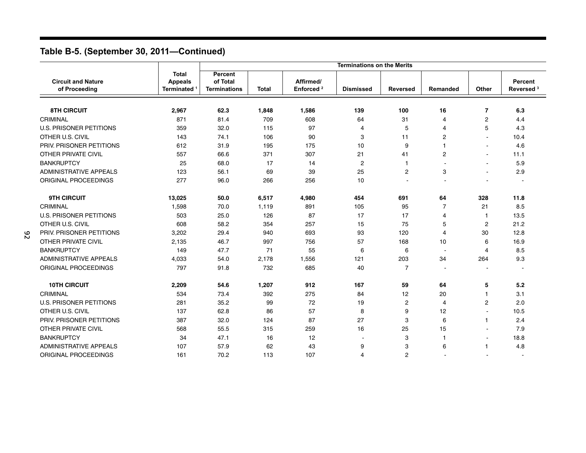|                                            |                                                           |                                            |              |                                    | <b>Terminations on the Merits</b> |                 |                          |                |                                  |
|--------------------------------------------|-----------------------------------------------------------|--------------------------------------------|--------------|------------------------------------|-----------------------------------|-----------------|--------------------------|----------------|----------------------------------|
| <b>Circuit and Nature</b><br>of Proceeding | <b>Total</b><br><b>Appeals</b><br>Terminated <sup>1</sup> | Percent<br>of Total<br><b>Terminations</b> | <b>Total</b> | Affirmed/<br>Enforced <sup>2</sup> | <b>Dismissed</b>                  | <b>Reversed</b> | Remanded                 | Other          | Percent<br>Reversed <sup>3</sup> |
| <b>8TH CIRCUIT</b>                         | 2,967                                                     | 62.3                                       | 1,848        | 1,586                              | 139                               | 100             | 16                       | $\overline{7}$ | 6.3                              |
| CRIMINAL                                   | 871                                                       | 81.4                                       | 709          | 608                                | 64                                | 31              | $\overline{4}$           | 2              | 4.4                              |
| <b>U.S. PRISONER PETITIONS</b>             | 359                                                       | 32.0                                       | 115          | 97                                 | 4                                 | 5               | $\overline{4}$           | 5              | 4.3                              |
| OTHER U.S. CIVIL                           | 143                                                       | 74.1                                       | 106          | 90                                 | 3                                 | 11              | $\overline{2}$           |                | 10.4                             |
| PRIV. PRISONER PETITIONS                   | 612                                                       | 31.9                                       | 195          | 175                                | 10                                | 9               | $\mathbf{1}$             | $\blacksquare$ | 4.6                              |
| <b>OTHER PRIVATE CIVIL</b>                 | 557                                                       | 66.6                                       | 371          | 307                                | 21                                | 41              | $\overline{2}$           | $\blacksquare$ | 11.1                             |
| <b>BANKRUPTCY</b>                          | 25                                                        | 68.0                                       | 17           | 14                                 | $\overline{2}$                    | $\mathbf{1}$    |                          | $\sim$         | 5.9                              |
| <b>ADMINISTRATIVE APPEALS</b>              | 123                                                       | 56.1                                       | 69           | 39                                 | 25                                | $\overline{c}$  | 3                        |                | 2.9                              |
| ORIGINAL PROCEEDINGS                       | 277                                                       | 96.0                                       | 266          | 256                                | 10                                |                 |                          |                |                                  |
| <b>9TH CIRCUIT</b>                         | 13,025                                                    | 50.0                                       | 6,517        | 4,980                              | 454                               | 691             | 64                       | 328            | 11.8                             |
| CRIMINAL                                   | 1,598                                                     | 70.0                                       | 1,119        | 891                                | 105                               | 95              | $\overline{7}$           | 21             | 8.5                              |
| <b>U.S. PRISONER PETITIONS</b>             | 503                                                       | 25.0                                       | 126          | 87                                 | 17                                | 17              | $\overline{4}$           | $\overline{1}$ | 13.5                             |
| OTHER U.S. CIVIL                           | 608                                                       | 58.2                                       | 354          | 257                                | 15                                | 75              | 5                        | $\overline{c}$ | 21.2                             |
| PRIV. PRISONER PETITIONS                   | 3,202                                                     | 29.4                                       | 940          | 693                                | 93                                | 120             | $\overline{4}$           | 30             | 12.8                             |
| <b>OTHER PRIVATE CIVIL</b>                 | 2,135                                                     | 46.7                                       | 997          | 756                                | 57                                | 168             | 10                       | 6              | 16.9                             |
| <b>BANKRUPTCY</b>                          | 149                                                       | 47.7                                       | 71           | 55                                 | 6                                 | 6               |                          | 4              | 8.5                              |
| <b>ADMINISTRATIVE APPEALS</b>              | 4,033                                                     | 54.0                                       | 2,178        | 1,556                              | 121                               | 203             | 34                       | 264            | 9.3                              |
| <b>ORIGINAL PROCEEDINGS</b>                | 797                                                       | 91.8                                       | 732          | 685                                | 40                                | $\overline{7}$  | $\overline{\phantom{a}}$ |                | $\overline{\phantom{a}}$         |
| <b>10TH CIRCUIT</b>                        | 2,209                                                     | 54.6                                       | 1,207        | 912                                | 167                               | 59              | 64                       | 5              | 5.2                              |
| CRIMINAL                                   | 534                                                       | 73.4                                       | 392          | 275                                | 84                                | 12              | 20                       | 1              | 3.1                              |
| <b>U.S. PRISONER PETITIONS</b>             | 281                                                       | 35.2                                       | 99           | 72                                 | 19                                | $\overline{c}$  | $\overline{4}$           | $\overline{2}$ | 2.0                              |
| OTHER U.S. CIVIL                           | 137                                                       | 62.8                                       | 86           | 57                                 | 8                                 | 9               | 12                       | ä,             | 10.5                             |
| PRIV. PRISONER PETITIONS                   | 387                                                       | 32.0                                       | 124          | 87                                 | 27                                | 3               | 6                        | 1              | 2.4                              |
| <b>OTHER PRIVATE CIVIL</b>                 | 568                                                       | 55.5                                       | 315          | 259                                | 16                                | 25              | 15                       |                | 7.9                              |
| <b>BANKRUPTCY</b>                          | 34                                                        | 47.1                                       | 16           | 12                                 |                                   | 3               | -1                       |                | 18.8                             |
| <b>ADMINISTRATIVE APPEALS</b>              | 107                                                       | 57.9                                       | 62           | 43                                 | 9                                 | 3               | 6                        | 1              | 4.8                              |
| ORIGINAL PROCEEDINGS                       | 161                                                       | 70.2                                       | 113          | 107                                | 4                                 | $\overline{c}$  |                          |                | $\overline{\phantom{a}}$         |

92